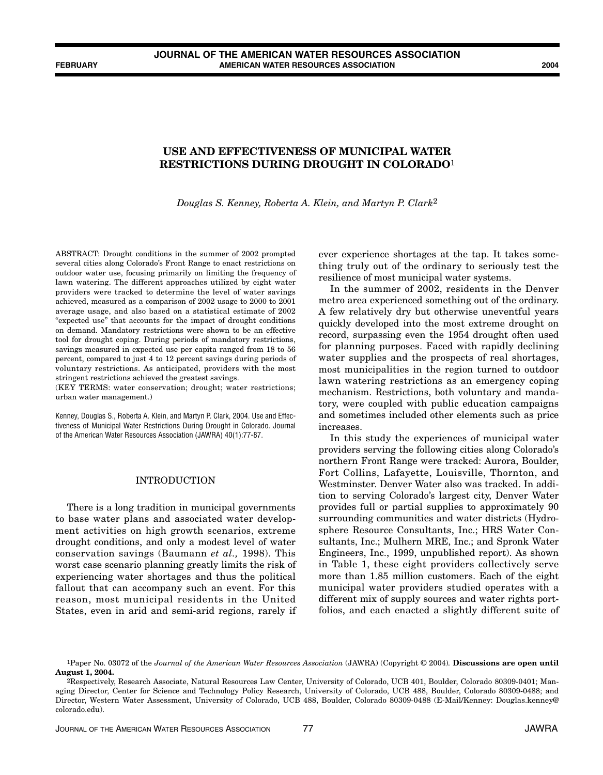# **USE AND EFFECTIVENESS OF MUNICIPAL WATER RESTRICTIONS DURING DROUGHT IN COLORADO**1

*Douglas S. Kenney, Roberta A. Klein, and Martyn P. Clark*2

ABSTRACT: Drought conditions in the summer of 2002 prompted several cities along Colorado's Front Range to enact restrictions on outdoor water use, focusing primarily on limiting the frequency of lawn watering. The different approaches utilized by eight water providers were tracked to determine the level of water savings achieved, measured as a comparison of 2002 usage to 2000 to 2001 average usage, and also based on a statistical estimate of 2002 "expected use" that accounts for the impact of drought conditions on demand. Mandatory restrictions were shown to be an effective tool for drought coping. During periods of mandatory restrictions, savings measured in expected use per capita ranged from 18 to 56 percent, compared to just 4 to 12 percent savings during periods of voluntary restrictions. As anticipated, providers with the most stringent restrictions achieved the greatest savings.

(KEY TERMS: water conservation; drought; water restrictions; urban water management.)

Kenney, Douglas S., Roberta A. Klein, and Martyn P. Clark, 2004. Use and Effectiveness of Municipal Water Restrictions During Drought in Colorado. Journal of the American Water Resources Association (JAWRA) 40(1):77-87.

### INTRODUCTION

There is a long tradition in municipal governments to base water plans and associated water development activities on high growth scenarios, extreme drought conditions, and only a modest level of water conservation savings (Baumann *et al.,* 1998). This worst case scenario planning greatly limits the risk of experiencing water shortages and thus the political fallout that can accompany such an event. For this reason, most municipal residents in the United States, even in arid and semi-arid regions, rarely if

ever experience shortages at the tap. It takes something truly out of the ordinary to seriously test the resilience of most municipal water systems.

In the summer of 2002, residents in the Denver metro area experienced something out of the ordinary. A few relatively dry but otherwise uneventful years quickly developed into the most extreme drought on record, surpassing even the 1954 drought often used for planning purposes. Faced with rapidly declining water supplies and the prospects of real shortages, most municipalities in the region turned to outdoor lawn watering restrictions as an emergency coping mechanism. Restrictions, both voluntary and mandatory, were coupled with public education campaigns and sometimes included other elements such as price increases.

In this study the experiences of municipal water providers serving the following cities along Colorado's northern Front Range were tracked: Aurora, Boulder, Fort Collins, Lafayette, Louisville, Thornton, and Westminster. Denver Water also was tracked. In addition to serving Colorado's largest city, Denver Water provides full or partial supplies to approximately 90 surrounding communities and water districts (Hydrosphere Resource Consultants, Inc.; HRS Water Consultants, Inc.; Mulhern MRE, Inc.; and Spronk Water Engineers, Inc., 1999, unpublished report). As shown in Table 1, these eight providers collectively serve more than 1.85 million customers. Each of the eight municipal water providers studied operates with a different mix of supply sources and water rights portfolios, and each enacted a slightly different suite of

<sup>1</sup>Paper No. 03072 of the *Journal of the American Water Resources Association* (JAWRA) (Copyright © 2004)*.* **Discussions are open until August 1, 2004.**

<sup>2</sup>Respectively, Research Associate, Natural Resources Law Center, University of Colorado, UCB 401, Boulder, Colorado 80309-0401; Managing Director, Center for Science and Technology Policy Research, University of Colorado, UCB 488, Boulder, Colorado 80309-0488; and Director, Western Water Assessment, University of Colorado, UCB 488, Boulder, Colorado 80309-0488 (E-Mail/Kenney: Douglas.kenney@ colorado.edu).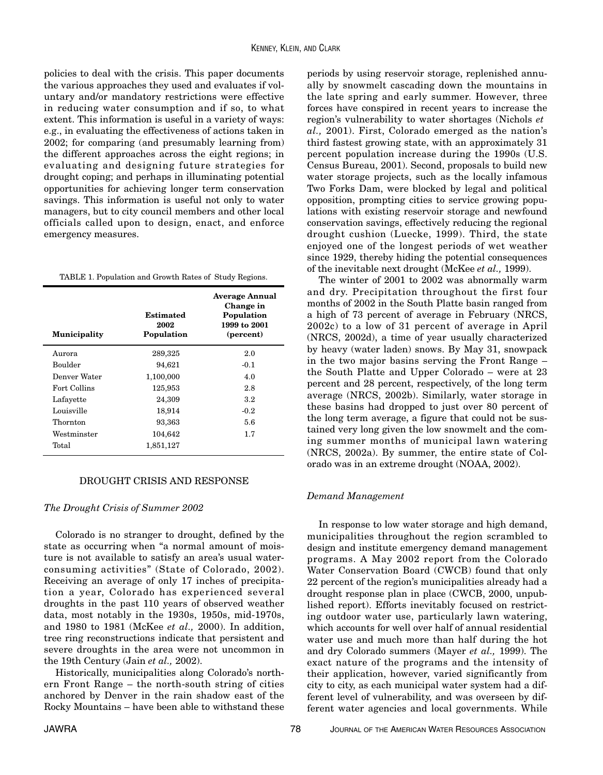policies to deal with the crisis. This paper documents the various approaches they used and evaluates if voluntary and/or mandatory restrictions were effective in reducing water consumption and if so, to what extent. This information is useful in a variety of ways: e.g., in evaluating the effectiveness of actions taken in 2002; for comparing (and presumably learning from) the different approaches across the eight regions; in evaluating and designing future strategies for drought coping; and perhaps in illuminating potential opportunities for achieving longer term conservation savings. This information is useful not only to water managers, but to city council members and other local officials called upon to design, enact, and enforce emergency measures.

|  |  |  |  | TABLE 1. Population and Growth Rates of Study Regions. |
|--|--|--|--|--------------------------------------------------------|
|--|--|--|--|--------------------------------------------------------|

| <b>Municipality</b> | <b>Estimated</b><br>2002<br>Population | Average Annual<br>Change in<br>Population<br>1999 to 2001<br>(percent) |
|---------------------|----------------------------------------|------------------------------------------------------------------------|
| Aurora              | 289,325                                | 2.0                                                                    |
| Boulder             | 94,621                                 | $-0.1$                                                                 |
| Denver Water        | 1,100,000                              | 4.0                                                                    |
| Fort Collins        | 125,953                                | 2.8                                                                    |
| Lafayette           | 24,309                                 | $3.2\,$                                                                |
| Louisville          | 18,914                                 | $-0.2$                                                                 |
| Thornton            | 93,363                                 | 5.6                                                                    |
| Westminster         | 104,642                                | 1.7                                                                    |
| Total               | 1,851,127                              |                                                                        |

### DROUGHT CRISIS AND RESPONSE

### *The Drought Crisis of Summer 2002*

Colorado is no stranger to drought, defined by the state as occurring when "a normal amount of moisture is not available to satisfy an area's usual waterconsuming activities" (State of Colorado, 2002). Receiving an average of only 17 inches of precipitation a year, Colorado has experienced several droughts in the past 110 years of observed weather data, most notably in the 1930s, 1950s, mid-1970s, and 1980 to 1981 (McKee *et al.,* 2000). In addition, tree ring reconstructions indicate that persistent and severe droughts in the area were not uncommon in the 19th Century (Jain *et al.,* 2002).

Historically, municipalities along Colorado's northern Front Range – the north-south string of cities anchored by Denver in the rain shadow east of the Rocky Mountains – have been able to withstand these

periods by using reservoir storage, replenished annually by snowmelt cascading down the mountains in the late spring and early summer. However, three forces have conspired in recent years to increase the region's vulnerability to water shortages (Nichols *et al.,* 2001). First, Colorado emerged as the nation's third fastest growing state, with an approximately 31 percent population increase during the 1990s (U.S. Census Bureau, 2001). Second, proposals to build new water storage projects, such as the locally infamous Two Forks Dam, were blocked by legal and political opposition, prompting cities to service growing populations with existing reservoir storage and newfound conservation savings, effectively reducing the regional drought cushion (Luecke, 1999). Third, the state enjoyed one of the longest periods of wet weather since 1929, thereby hiding the potential consequences of the inevitable next drought (McKee *et al.,* 1999).

The winter of 2001 to 2002 was abnormally warm and dry. Precipitation throughout the first four months of 2002 in the South Platte basin ranged from a high of 73 percent of average in February (NRCS, 2002c) to a low of 31 percent of average in April (NRCS, 2002d), a time of year usually characterized by heavy (water laden) snows. By May 31, snowpack in the two major basins serving the Front Range – the South Platte and Upper Colorado – were at 23 percent and 28 percent, respectively, of the long term average (NRCS, 2002b). Similarly, water storage in these basins had dropped to just over 80 percent of the long term average, a figure that could not be sustained very long given the low snowmelt and the coming summer months of municipal lawn watering (NRCS, 2002a). By summer, the entire state of Colorado was in an extreme drought (NOAA, 2002).

### *Demand Management*

In response to low water storage and high demand, municipalities throughout the region scrambled to design and institute emergency demand management programs. A May 2002 report from the Colorado Water Conservation Board (CWCB) found that only 22 percent of the region's municipalities already had a drought response plan in place (CWCB, 2000, unpublished report). Efforts inevitably focused on restricting outdoor water use, particularly lawn watering, which accounts for well over half of annual residential water use and much more than half during the hot and dry Colorado summers (Mayer *et al.,* 1999). The exact nature of the programs and the intensity of their application, however, varied significantly from city to city, as each municipal water system had a different level of vulnerability, and was overseen by different water agencies and local governments. While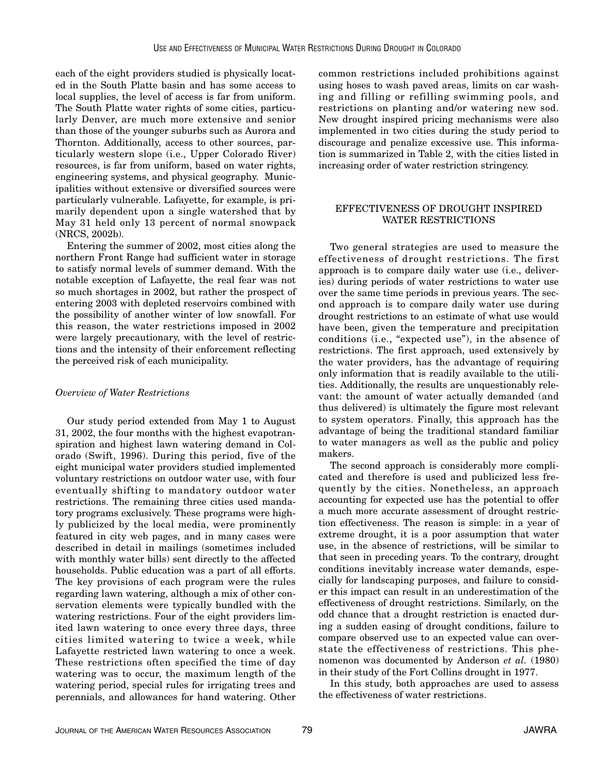each of the eight providers studied is physically located in the South Platte basin and has some access to local supplies, the level of access is far from uniform. The South Platte water rights of some cities, particularly Denver, are much more extensive and senior than those of the younger suburbs such as Aurora and Thornton. Additionally, access to other sources, particularly western slope (i.e., Upper Colorado River) resources, is far from uniform, based on water rights, engineering systems, and physical geography. Municipalities without extensive or diversified sources were particularly vulnerable. Lafayette, for example, is primarily dependent upon a single watershed that by May 31 held only 13 percent of normal snowpack (NRCS, 2002b).

Entering the summer of 2002, most cities along the northern Front Range had sufficient water in storage to satisfy normal levels of summer demand. With the notable exception of Lafayette, the real fear was not so much shortages in 2002, but rather the prospect of entering 2003 with depleted reservoirs combined with the possibility of another winter of low snowfall. For this reason, the water restrictions imposed in 2002 were largely precautionary, with the level of restrictions and the intensity of their enforcement reflecting the perceived risk of each municipality.

### *Overview of Water Restrictions*

Our study period extended from May 1 to August 31, 2002, the four months with the highest evapotranspiration and highest lawn watering demand in Colorado (Swift, 1996). During this period, five of the eight municipal water providers studied implemented voluntary restrictions on outdoor water use, with four eventually shifting to mandatory outdoor water restrictions. The remaining three cities used mandatory programs exclusively. These programs were highly publicized by the local media, were prominently featured in city web pages, and in many cases were described in detail in mailings (sometimes included with monthly water bills) sent directly to the affected households. Public education was a part of all efforts. The key provisions of each program were the rules regarding lawn watering, although a mix of other conservation elements were typically bundled with the watering restrictions. Four of the eight providers limited lawn watering to once every three days, three cities limited watering to twice a week, while Lafayette restricted lawn watering to once a week. These restrictions often specified the time of day watering was to occur, the maximum length of the watering period, special rules for irrigating trees and perennials, and allowances for hand watering. Other

common restrictions included prohibitions against using hoses to wash paved areas, limits on car washing and filling or refilling swimming pools, and restrictions on planting and/or watering new sod. New drought inspired pricing mechanisms were also implemented in two cities during the study period to discourage and penalize excessive use. This information is summarized in Table 2, with the cities listed in increasing order of water restriction stringency.

## EFFECTIVENESS OF DROUGHT INSPIRED WATER RESTRICTIONS

Two general strategies are used to measure the effectiveness of drought restrictions. The first approach is to compare daily water use (i.e., deliveries) during periods of water restrictions to water use over the same time periods in previous years. The second approach is to compare daily water use during drought restrictions to an estimate of what use would have been, given the temperature and precipitation conditions (i.e., "expected use"), in the absence of restrictions. The first approach, used extensively by the water providers, has the advantage of requiring only information that is readily available to the utilities. Additionally, the results are unquestionably relevant: the amount of water actually demanded (and thus delivered) is ultimately the figure most relevant to system operators. Finally, this approach has the advantage of being the traditional standard familiar to water managers as well as the public and policy makers.

The second approach is considerably more complicated and therefore is used and publicized less frequently by the cities. Nonetheless, an approach accounting for expected use has the potential to offer a much more accurate assessment of drought restriction effectiveness. The reason is simple: in a year of extreme drought, it is a poor assumption that water use, in the absence of restrictions, will be similar to that seen in preceding years. To the contrary, drought conditions inevitably increase water demands, especially for landscaping purposes, and failure to consider this impact can result in an underestimation of the effectiveness of drought restrictions. Similarly, on the odd chance that a drought restriction is enacted during a sudden easing of drought conditions, failure to compare observed use to an expected value can overstate the effectiveness of restrictions. This phenomenon was documented by Anderson *et al.* (1980) in their study of the Fort Collins drought in 1977.

In this study, both approaches are used to assess the effectiveness of water restrictions.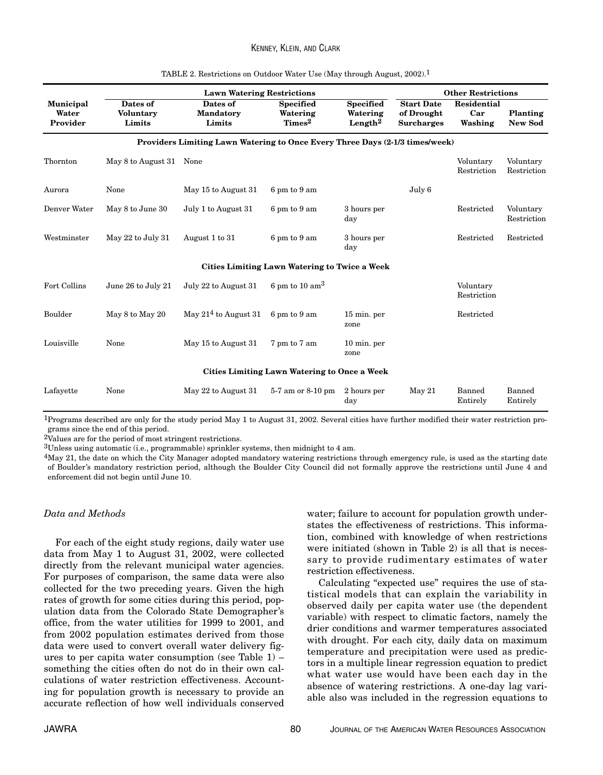#### KENNEY, KLEIN, AND CLARK

| <b>Lawn Watering Restrictions</b>            |                                                                              |                                        |                                                           |                                                     |                                                      | <b>Other Restrictions</b>            |                            |  |  |
|----------------------------------------------|------------------------------------------------------------------------------|----------------------------------------|-----------------------------------------------------------|-----------------------------------------------------|------------------------------------------------------|--------------------------------------|----------------------------|--|--|
| <b>Municipal</b><br>Water<br>Provider        | Dates of<br><b>Voluntary</b><br>Limits                                       | Dates of<br><b>Mandatory</b><br>Limits | <b>Specified</b><br><b>Watering</b><br>Times <sup>2</sup> | <b>Specified</b><br>Watering<br>Length <sup>2</sup> | <b>Start Date</b><br>of Drought<br><b>Surcharges</b> | <b>Residential</b><br>Car<br>Washing | Planting<br><b>New Sod</b> |  |  |
|                                              | Providers Limiting Lawn Watering to Once Every Three Days (2-1/3 times/week) |                                        |                                                           |                                                     |                                                      |                                      |                            |  |  |
| Thornton                                     | May 8 to August 31 None                                                      |                                        |                                                           |                                                     |                                                      | Voluntary<br>Restriction             | Voluntary<br>Restriction   |  |  |
| Aurora                                       | None                                                                         | May 15 to August 31                    | 6 pm to 9 am                                              |                                                     | July 6                                               |                                      |                            |  |  |
| Denver Water                                 | May 8 to June 30                                                             | July 1 to August 31                    | 6 pm to 9 am                                              | 3 hours per<br>day                                  |                                                      | Restricted                           | Voluntary<br>Restriction   |  |  |
| Westminster                                  | May 22 to July 31                                                            | August 1 to 31                         | 6 pm to 9 am                                              | 3 hours per<br>day                                  |                                                      | Restricted                           | Restricted                 |  |  |
|                                              |                                                                              |                                        | Cities Limiting Lawn Watering to Twice a Week             |                                                     |                                                      |                                      |                            |  |  |
| Fort Collins                                 | June 26 to July 21                                                           | July 22 to August 31                   | 6 pm to $10 \text{ am}^3$                                 |                                                     |                                                      | Voluntary<br>Restriction             |                            |  |  |
| Boulder                                      | May 8 to May 20                                                              | May $214$ to August 31                 | 6 pm to 9 am                                              | 15 min. per<br>zone                                 |                                                      | Restricted                           |                            |  |  |
| Louisville                                   | None                                                                         | May 15 to August 31                    | 7 pm to 7 am                                              | 10 min. per<br>zone                                 |                                                      |                                      |                            |  |  |
| Cities Limiting Lawn Watering to Once a Week |                                                                              |                                        |                                                           |                                                     |                                                      |                                      |                            |  |  |
| Lafayette                                    | None                                                                         | May 22 to August 31                    | 5-7 am or 8-10 pm                                         | 2 hours per<br>day                                  | May 21                                               | Banned<br>Entirely                   | Banned<br>Entirely         |  |  |

| TABLE 2. Restrictions on Outdoor Water Use (May through August, 2002). $^1$ |  |  |  |  |  |  |
|-----------------------------------------------------------------------------|--|--|--|--|--|--|
|-----------------------------------------------------------------------------|--|--|--|--|--|--|

1Programs described are only for the study period May 1 to August 31, 2002. Several cities have further modified their water restriction pro-1grams since the end of this period.

 $2\overline{V}$ alues are for the period of most stringent restrictions.

3Unless using automatic (i.e., programmable) sprinkler systems, then midnight to 4 am.

<sup>4</sup>May 21, the date on which the City Manager adopted mandatory watering restrictions through emergency rule, is used as the starting date 4of Boulder's mandatory restriction period, although the Boulder City Council did not formally approve the restrictions until June 4 and 4enforcement did not begin until June 10.

#### *Data and Methods*

For each of the eight study regions, daily water use data from May 1 to August 31, 2002, were collected directly from the relevant municipal water agencies. For purposes of comparison, the same data were also collected for the two preceding years. Given the high rates of growth for some cities during this period, population data from the Colorado State Demographer's office, from the water utilities for 1999 to 2001, and from 2002 population estimates derived from those data were used to convert overall water delivery figures to per capita water consumption (see Table  $1$ ) – something the cities often do not do in their own calculations of water restriction effectiveness. Accounting for population growth is necessary to provide an accurate reflection of how well individuals conserved

water; failure to account for population growth understates the effectiveness of restrictions. This information, combined with knowledge of when restrictions were initiated (shown in Table 2) is all that is necessary to provide rudimentary estimates of water restriction effectiveness.

Calculating "expected use" requires the use of statistical models that can explain the variability in observed daily per capita water use (the dependent variable) with respect to climatic factors, namely the drier conditions and warmer temperatures associated with drought. For each city, daily data on maximum temperature and precipitation were used as predictors in a multiple linear regression equation to predict what water use would have been each day in the absence of watering restrictions. A one-day lag variable also was included in the regression equations to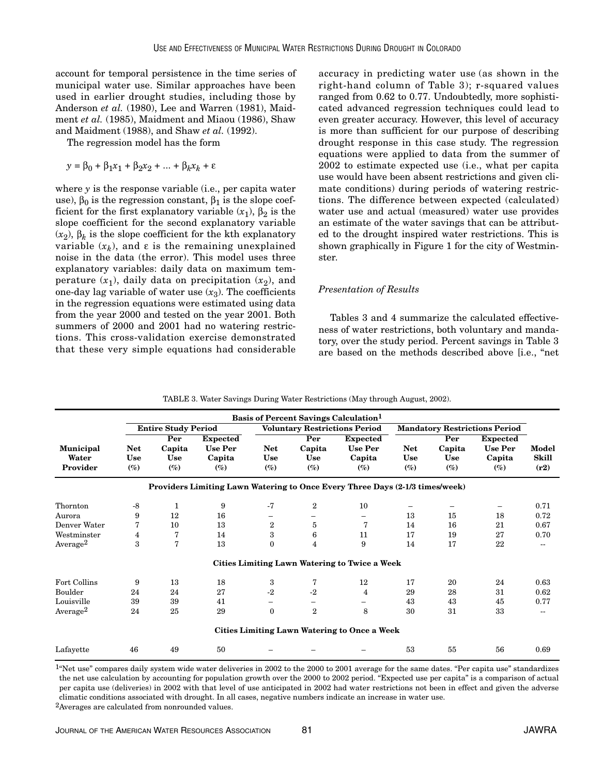account for temporal persistence in the time series of municipal water use. Similar approaches have been used in earlier drought studies, including those by Anderson *et al.* (1980), Lee and Warren (1981), Maidment *et al.* (1985), Maidment and Miaou (1986), Shaw and Maidment (1988), and Shaw *et al.* (1992).

The regression model has the form

*y* = β<sub>0</sub> + β<sub>1</sub>*x*<sub>1</sub> + β<sub>2</sub>*x*<sub>2</sub> + ... + β<sub>*kx*<sub>*k*</sub> + ε</sub>

where *y* is the response variable (i.e., per capita water use),  $\beta_0$  is the regression constant,  $\beta_1$  is the slope coefficient for the first explanatory variable  $(x_1)$ ,  $\beta_2$  is the slope coefficient for the second explanatory variable  $(x_2)$ ,  $\beta_k$  is the slope coefficient for the kth explanatory variable  $(x_k)$ , and  $\varepsilon$  is the remaining unexplained noise in the data (the error). This model uses three explanatory variables: daily data on maximum temperature  $(x_1)$ , daily data on precipitation  $(x_2)$ , and one-day lag variable of water use  $(x_3)$ . The coefficients in the regression equations were estimated using data from the year 2000 and tested on the year 2001. Both summers of 2000 and 2001 had no watering restrictions. This cross-validation exercise demonstrated that these very simple equations had considerable

accuracy in predicting water use (as shown in the right-hand column of Table 3); r-squared values ranged from 0.62 to 0.77. Undoubtedly, more sophisticated advanced regression techniques could lead to even greater accuracy. However, this level of accuracy is more than sufficient for our purpose of describing drought response in this case study. The regression equations were applied to data from the summer of 2002 to estimate expected use (i.e., what per capita use would have been absent restrictions and given climate conditions) during periods of watering restrictions. The difference between expected (calculated) water use and actual (measured) water use provides an estimate of the water savings that can be attributed to the drought inspired water restrictions. This is shown graphically in Figure 1 for the city of Westminster.

## *Presentation of Results*

Tables 3 and 4 summarize the calculated effectiveness of water restrictions, both voluntary and mandatory, over the study period. Percent savings in Table 3 are based on the methods described above [i.e., "net

|                                       | <b>Entire Study Period</b>         |                                       |                                                                              | Basis of Percent Savings Calculation <sup>1</sup><br><b>Voluntary Restrictions Period</b> |                                       |                                                    |                                    |                                    | <b>Mandatory Restrictions Period</b>               |                               |
|---------------------------------------|------------------------------------|---------------------------------------|------------------------------------------------------------------------------|-------------------------------------------------------------------------------------------|---------------------------------------|----------------------------------------------------|------------------------------------|------------------------------------|----------------------------------------------------|-------------------------------|
| <b>Municipal</b><br>Water<br>Provider | <b>Net</b><br><b>Use</b><br>$(\%)$ | Per<br>Capita<br><b>Use</b><br>$(\%)$ | <b>Expected</b><br><b>Use Per</b><br>Capita<br>$(\%)$                        | <b>Net</b><br><b>Use</b><br>$(\%)$                                                        | Per<br>Capita<br><b>Use</b><br>$(\%)$ | <b>Expected</b><br><b>Use Per</b><br>Capita<br>(%) | <b>Net</b><br><b>Use</b><br>$(\%)$ | Per<br>Capita<br><b>Use</b><br>(%) | <b>Expected</b><br><b>Use Per</b><br>Capita<br>(%) | Model<br><b>Skill</b><br>(r2) |
|                                       |                                    |                                       | Providers Limiting Lawn Watering to Once Every Three Days (2-1/3 times/week) |                                                                                           |                                       |                                                    |                                    |                                    |                                                    |                               |
| Thornton                              | $-8$                               | 1                                     | 9                                                                            | $-7$                                                                                      | $\boldsymbol{2}$                      | 10                                                 |                                    |                                    |                                                    | 0.71                          |
| Aurora                                | 9                                  | 12                                    | 16                                                                           | -                                                                                         |                                       | -                                                  | 13                                 | 15                                 | 18                                                 | 0.72                          |
| Denver Water                          | 7                                  | 10                                    | 13                                                                           | $\boldsymbol{2}$                                                                          | 5                                     | $\overline{7}$                                     | 14                                 | 16                                 | 21                                                 | 0.67                          |
| Westminster                           | 4                                  | 7                                     | 14                                                                           | 3                                                                                         | 6                                     | 11                                                 | 17                                 | 19                                 | 27                                                 | 0.70                          |
| Average <sup>2</sup>                  | 3                                  | 7                                     | 13                                                                           | $\boldsymbol{0}$                                                                          | $\overline{4}$                        | 9                                                  | 14                                 | 17                                 | 22                                                 | $\overline{\phantom{a}}$      |
|                                       |                                    |                                       |                                                                              |                                                                                           |                                       | Cities Limiting Lawn Watering to Twice a Week      |                                    |                                    |                                                    |                               |
| <b>Fort Collins</b>                   | 9                                  | 13                                    | 18                                                                           | 3                                                                                         | 7                                     | 12                                                 | 17                                 | 20                                 | 24                                                 | 0.63                          |
| Boulder                               | 24                                 | 24                                    | 27                                                                           | $-2$                                                                                      | $-2$                                  | 4                                                  | 29                                 | 28                                 | 31                                                 | 0.62                          |
| Louisville                            | 39                                 | 39                                    | 41                                                                           | $\qquad \qquad -$                                                                         | -                                     | $\overline{\phantom{0}}$                           | 43                                 | 43                                 | 45                                                 | 0.77                          |
| Average <sup>2</sup>                  | 24                                 | 25                                    | 29                                                                           | $\mathbf{0}$                                                                              | $\overline{2}$                        | 8                                                  | 30                                 | 31                                 | 33                                                 | --                            |
|                                       |                                    |                                       |                                                                              |                                                                                           |                                       | Cities Limiting Lawn Watering to Once a Week       |                                    |                                    |                                                    |                               |
| Lafayette                             | 46                                 | 49                                    | 50                                                                           |                                                                                           |                                       |                                                    | 53                                 | 55                                 | 56                                                 | 0.69                          |

TABLE 3. Water Savings During Water Restrictions (May through August, 2002).

<sup>1</sup> Net use" compares daily system wide water deliveries in 2002 to the 2000 to 2001 average for the same dates. "Per capita use" standardizes 1the net use calculation by accounting for population growth over the 2000 to 2002 period. "Expected use per capita" is a comparison of actual 1per capita use (deliveries) in 2002 with that level of use anticipated in 2002 had water restrictions not been in effect and given the adverse 1climatic conditions associated with drought. In all cases, negative numbers indicate an increase in water use.

2Averages are calculated from nonrounded values.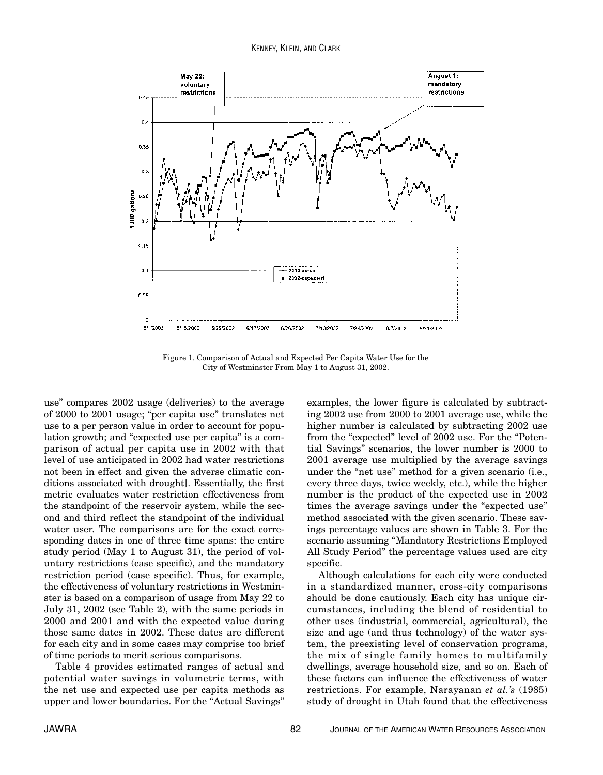

Figure 1. Comparison of Actual and Expected Per Capita Water Use for the City of Westminster From May 1 to August 31, 2002.

use" compares 2002 usage (deliveries) to the average of 2000 to 2001 usage; "per capita use" translates net use to a per person value in order to account for population growth; and "expected use per capita" is a comparison of actual per capita use in 2002 with that level of use anticipated in 2002 had water restrictions not been in effect and given the adverse climatic conditions associated with drought]. Essentially, the first metric evaluates water restriction effectiveness from the standpoint of the reservoir system, while the second and third reflect the standpoint of the individual water user. The comparisons are for the exact corresponding dates in one of three time spans: the entire study period (May 1 to August 31), the period of voluntary restrictions (case specific), and the mandatory restriction period (case specific). Thus, for example, the effectiveness of voluntary restrictions in Westminster is based on a comparison of usage from May 22 to July 31, 2002 (see Table 2), with the same periods in 2000 and 2001 and with the expected value during those same dates in 2002. These dates are different for each city and in some cases may comprise too brief of time periods to merit serious comparisons.

Table 4 provides estimated ranges of actual and potential water savings in volumetric terms, with the net use and expected use per capita methods as upper and lower boundaries. For the "Actual Savings"

examples, the lower figure is calculated by subtracting 2002 use from 2000 to 2001 average use, while the higher number is calculated by subtracting 2002 use from the "expected" level of 2002 use. For the "Potential Savings" scenarios, the lower number is 2000 to 2001 average use multiplied by the average savings under the "net use" method for a given scenario (i.e., every three days, twice weekly, etc.), while the higher number is the product of the expected use in 2002 times the average savings under the "expected use" method associated with the given scenario. These savings percentage values are shown in Table 3. For the scenario assuming "Mandatory Restrictions Employed All Study Period" the percentage values used are city specific.

Although calculations for each city were conducted in a standardized manner, cross-city comparisons should be done cautiously. Each city has unique circumstances, including the blend of residential to other uses (industrial, commercial, agricultural), the size and age (and thus technology) of the water system, the preexisting level of conservation programs, the mix of single family homes to multifamily dwellings, average household size, and so on. Each of these factors can influence the effectiveness of water restrictions. For example, Narayanan *et al.'s* (1985) study of drought in Utah found that the effectiveness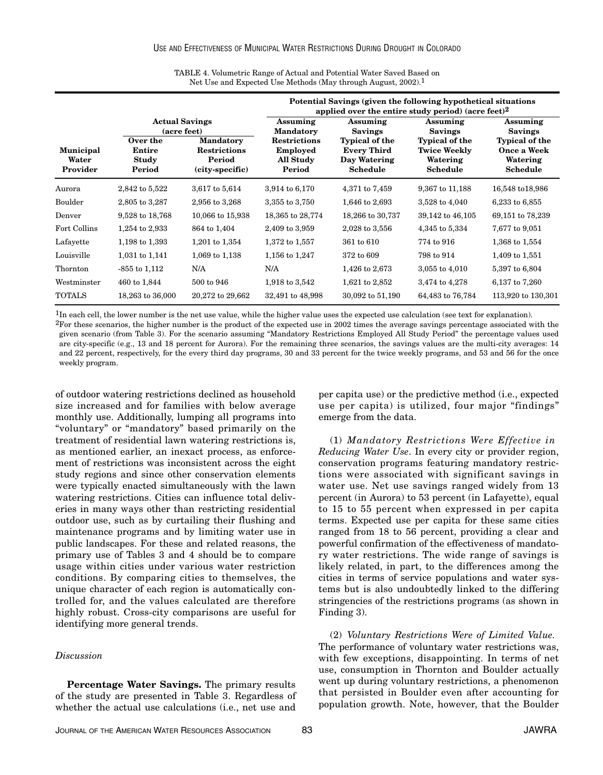|                                       |                                              |                                                                      | Potential Savings (given the following hypothetical situations)<br>applied over the entire study period) (acre feet) <sup>2</sup> |                                                                                |                                                                             |                                                              |  |  |
|---------------------------------------|----------------------------------------------|----------------------------------------------------------------------|-----------------------------------------------------------------------------------------------------------------------------------|--------------------------------------------------------------------------------|-----------------------------------------------------------------------------|--------------------------------------------------------------|--|--|
|                                       | <b>Actual Savings</b><br>(acre feet)         |                                                                      | Assuming<br><b>Mandatory</b>                                                                                                      | Assuming<br><b>Savings</b>                                                     | Assuming<br><b>Savings</b>                                                  | Assuming<br><b>Savings</b>                                   |  |  |
| <b>Municipal</b><br>Water<br>Provider | Over the<br>Entire<br><b>Study</b><br>Period | <b>Mandatory</b><br><b>Restrictions</b><br>Period<br>(city-specific) | <b>Restrictions</b><br>Employed<br>All Study<br>Period                                                                            | <b>Typical of the</b><br><b>Every Third</b><br>Day Watering<br><b>Schedule</b> | <b>Typical of the</b><br><b>Twice Weekly</b><br>Watering<br><b>Schedule</b> | <b>Typical of the</b><br>Once a Week<br>Watering<br>Schedule |  |  |
| Aurora                                | 2,842 to 5,522                               | 3,617 to 5,614                                                       | 3,914 to 6,170                                                                                                                    | 4,371 to 7,459                                                                 | 9,367 to 11,188                                                             | 16,548 to 18,986                                             |  |  |
| Boulder                               | 2,805 to 3,287                               | 2,956 to 3,268                                                       | 3,355 to 3,750                                                                                                                    | 1,646 to 2,693                                                                 | 3,528 to 4,040                                                              | 6,233 to 6,855                                               |  |  |
| Denver                                | 9,528 to 18,768                              | 10,066 to 15,938                                                     | 18,365 to 28,774                                                                                                                  | 18,266 to 30,737                                                               | 39,142 to 46,105                                                            | 69,151 to 78,239                                             |  |  |
| Fort Collins                          | 1,254 to 2,933                               | 864 to 1,404                                                         | 2,409 to 3,959                                                                                                                    | 2,028 to 3,556                                                                 | 4,345 to 5,334                                                              | 7,677 to 9,051                                               |  |  |
| Lafayette                             | 1,198 to 1,393                               | 1,201 to 1,354                                                       | 1,372 to 1,557                                                                                                                    | 361 to 610                                                                     | 774 to 916                                                                  | 1,368 to 1,554                                               |  |  |
| Louisville                            | 1,031 to 1,141                               | 1,069 to 1,138                                                       | 1,156 to 1,247                                                                                                                    | 372 to 609                                                                     | 798 to 914                                                                  | 1,409 to 1,551                                               |  |  |
| Thornton                              | $-855$ to $1,112$                            | N/A                                                                  | N/A                                                                                                                               | 1,426 to 2,673                                                                 | $3,055$ to $4,010$                                                          | 5,397 to 6,804                                               |  |  |
| Westminster                           | 460 to 1,844                                 | 500 to 946                                                           | 1,918 to 3,542                                                                                                                    | 1,621 to 2,852                                                                 | 3,474 to 4,278                                                              | 6,137 to 7,260                                               |  |  |
| <b>TOTALS</b>                         | 18,263 to 36,000                             | 20,272 to 29,662                                                     | 32,491 to 48,998                                                                                                                  | 30,092 to 51,190                                                               | 64,483 to 76,784                                                            | 113,920 to 130,301                                           |  |  |

TABLE 4. Volumetric Range of Actual and Potential Water Saved Based on Net Use and Expected Use Methods (May through August, 2002).1

 $<sup>1</sup>$ In each cell, the lower number is the net use value, while the higher value uses the expected use calculation (see text for explanation).</sup>  ${}^{2}$ For these scenarios, the higher number is the product of the expected use in 2002 times the average savings percentage associated with the 2given scenario (from Table 3). For the scenario assuming "Mandatory Restrictions Employed All Study Period" the percentage values used 2are city-specific (e.g., 13 and 18 percent for Aurora). For the remaining three scenarios, the savings values are the multi-city averages: 14 and 22 percent, respectively, for the every third day programs, 30 and 33 percent for the twice weekly programs, and 53 and 56 for the once weekly program.

of outdoor watering restrictions declined as household size increased and for families with below average monthly use. Additionally, lumping all programs into "voluntary" or "mandatory" based primarily on the treatment of residential lawn watering restrictions is, as mentioned earlier, an inexact process, as enforcement of restrictions was inconsistent across the eight study regions and since other conservation elements were typically enacted simultaneously with the lawn watering restrictions. Cities can influence total deliveries in many ways other than restricting residential outdoor use, such as by curtailing their flushing and maintenance programs and by limiting water use in public landscapes. For these and related reasons, the primary use of Tables 3 and 4 should be to compare usage within cities under various water restriction conditions. By comparing cities to themselves, the unique character of each region is automatically controlled for, and the values calculated are therefore highly robust. Cross-city comparisons are useful for identifying more general trends.

## *Discussion*

**Percentage Water Savings.** The primary results of the study are presented in Table 3. Regardless of whether the actual use calculations (i.e., net use and

per capita use) or the predictive method (i.e., expected use per capita) is utilized, four major "findings" emerge from the data.

(1) *Mandatory Restrictions Were Effective in Reducing Water Use*. In every city or provider region, conservation programs featuring mandatory restrictions were associated with significant savings in water use. Net use savings ranged widely from 13 percent (in Aurora) to 53 percent (in Lafayette), equal to 15 to 55 percent when expressed in per capita terms. Expected use per capita for these same cities ranged from 18 to 56 percent, providing a clear and powerful confirmation of the effectiveness of mandatory water restrictions. The wide range of savings is likely related, in part, to the differences among the cities in terms of service populations and water systems but is also undoubtedly linked to the differing stringencies of the restrictions programs (as shown in Finding 3).

(2) *Voluntary Restrictions Were of Limited Value.* The performance of voluntary water restrictions was, with few exceptions, disappointing. In terms of net use, consumption in Thornton and Boulder actually went up during voluntary restrictions, a phenomenon that persisted in Boulder even after accounting for population growth. Note, however, that the Boulder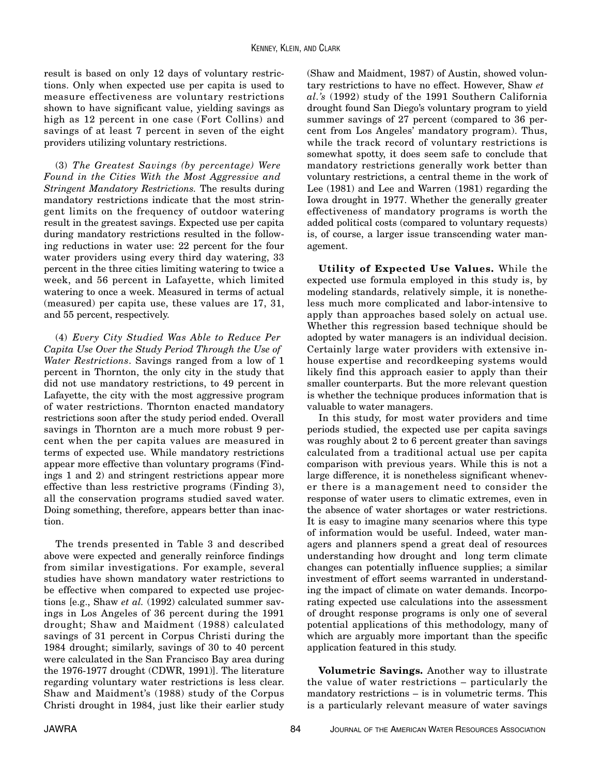result is based on only 12 days of voluntary restrictions. Only when expected use per capita is used to measure effectiveness are voluntary restrictions shown to have significant value, yielding savings as high as 12 percent in one case (Fort Collins) and savings of at least 7 percent in seven of the eight providers utilizing voluntary restrictions.

(3) *The Greatest Savings (by percentage) Were Found in the Cities With the Most Aggressive and Stringent Mandatory Restrictions.* The results during mandatory restrictions indicate that the most stringent limits on the frequency of outdoor watering result in the greatest savings. Expected use per capita during mandatory restrictions resulted in the following reductions in water use: 22 percent for the four water providers using every third day watering, 33 percent in the three cities limiting watering to twice a week, and 56 percent in Lafayette, which limited watering to once a week. Measured in terms of actual (measured) per capita use, these values are 17, 31, and 55 percent, respectively.

(4) *Every City Studied Was Able to Reduce Per Capita Use Over the Study Period Through the Use of Water Restrictions*. Savings ranged from a low of 1 percent in Thornton, the only city in the study that did not use mandatory restrictions, to 49 percent in Lafayette, the city with the most aggressive program of water restrictions. Thornton enacted mandatory restrictions soon after the study period ended. Overall savings in Thornton are a much more robust 9 percent when the per capita values are measured in terms of expected use. While mandatory restrictions appear more effective than voluntary programs (Findings 1 and 2) and stringent restrictions appear more effective than less restrictive programs (Finding 3), all the conservation programs studied saved water. Doing something, therefore, appears better than inaction.

The trends presented in Table 3 and described above were expected and generally reinforce findings from similar investigations. For example, several studies have shown mandatory water restrictions to be effective when compared to expected use projections [e.g., Shaw *et al.* (1992) calculated summer savings in Los Angeles of 36 percent during the 1991 drought; Shaw and Maidment (1988) calculated savings of 31 percent in Corpus Christi during the 1984 drought; similarly, savings of 30 to 40 percent were calculated in the San Francisco Bay area during the 1976-1977 drought (CDWR, 1991)]. The literature regarding voluntary water restrictions is less clear. Shaw and Maidment's (1988) study of the Corpus Christi drought in 1984, just like their earlier study

(Shaw and Maidment, 1987) of Austin, showed voluntary restrictions to have no effect. However, Shaw *et al.'s* (1992) study of the 1991 Southern California drought found San Diego's voluntary program to yield summer savings of 27 percent (compared to 36 percent from Los Angeles' mandatory program). Thus, while the track record of voluntary restrictions is somewhat spotty, it does seem safe to conclude that mandatory restrictions generally work better than voluntary restrictions, a central theme in the work of Lee (1981) and Lee and Warren (1981) regarding the Iowa drought in 1977. Whether the generally greater effectiveness of mandatory programs is worth the added political costs (compared to voluntary requests) is, of course, a larger issue transcending water management.

**Utility of Expected Use Values.** While the expected use formula employed in this study is, by modeling standards, relatively simple, it is nonetheless much more complicated and labor-intensive to apply than approaches based solely on actual use. Whether this regression based technique should be adopted by water managers is an individual decision. Certainly large water providers with extensive inhouse expertise and recordkeeping systems would likely find this approach easier to apply than their smaller counterparts. But the more relevant question is whether the technique produces information that is valuable to water managers.

In this study, for most water providers and time periods studied, the expected use per capita savings was roughly about 2 to 6 percent greater than savings calculated from a traditional actual use per capita comparison with previous years. While this is not a large difference, it is nonetheless significant whenever there is a management need to consider the response of water users to climatic extremes, even in the absence of water shortages or water restrictions. It is easy to imagine many scenarios where this type of information would be useful. Indeed, water managers and planners spend a great deal of resources understanding how drought and long term climate changes can potentially influence supplies; a similar investment of effort seems warranted in understanding the impact of climate on water demands. Incorporating expected use calculations into the assessment of drought response programs is only one of several potential applications of this methodology, many of which are arguably more important than the specific application featured in this study.

**Volumetric Savings.** Another way to illustrate the value of water restrictions – particularly the mandatory restrictions – is in volumetric terms. This is a particularly relevant measure of water savings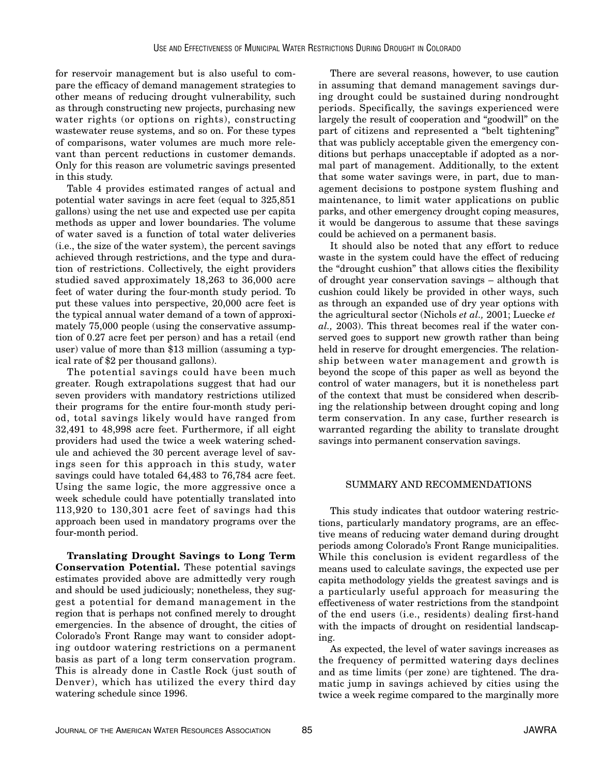for reservoir management but is also useful to compare the efficacy of demand management strategies to other means of reducing drought vulnerability, such as through constructing new projects, purchasing new water rights (or options on rights), constructing wastewater reuse systems, and so on. For these types of comparisons, water volumes are much more relevant than percent reductions in customer demands. Only for this reason are volumetric savings presented in this study.

Table 4 provides estimated ranges of actual and potential water savings in acre feet (equal to 325,851 gallons) using the net use and expected use per capita methods as upper and lower boundaries. The volume of water saved is a function of total water deliveries (i.e., the size of the water system), the percent savings achieved through restrictions, and the type and duration of restrictions. Collectively, the eight providers studied saved approximately 18,263 to 36,000 acre feet of water during the four-month study period. To put these values into perspective, 20,000 acre feet is the typical annual water demand of a town of approximately 75,000 people (using the conservative assumption of 0.27 acre feet per person) and has a retail (end user) value of more than \$13 million (assuming a typical rate of \$2 per thousand gallons).

The potential savings could have been much greater. Rough extrapolations suggest that had our seven providers with mandatory restrictions utilized their programs for the entire four-month study period, total savings likely would have ranged from 32,491 to 48,998 acre feet. Furthermore, if all eight providers had used the twice a week watering schedule and achieved the 30 percent average level of savings seen for this approach in this study, water savings could have totaled 64,483 to 76,784 acre feet. Using the same logic, the more aggressive once a week schedule could have potentially translated into 113,920 to 130,301 acre feet of savings had this approach been used in mandatory programs over the four-month period.

**Translating Drought Savings to Long Term Conservation Potential.** These potential savings estimates provided above are admittedly very rough and should be used judiciously; nonetheless, they suggest a potential for demand management in the region that is perhaps not confined merely to drought emergencies. In the absence of drought, the cities of Colorado's Front Range may want to consider adopting outdoor watering restrictions on a permanent basis as part of a long term conservation program. This is already done in Castle Rock (just south of Denver), which has utilized the every third day watering schedule since 1996.

There are several reasons, however, to use caution in assuming that demand management savings during drought could be sustained during nondrought periods. Specifically, the savings experienced were largely the result of cooperation and "goodwill" on the part of citizens and represented a "belt tightening" that was publicly acceptable given the emergency conditions but perhaps unacceptable if adopted as a normal part of management. Additionally, to the extent that some water savings were, in part, due to management decisions to postpone system flushing and maintenance, to limit water applications on public parks, and other emergency drought coping measures, it would be dangerous to assume that these savings could be achieved on a permanent basis.

It should also be noted that any effort to reduce waste in the system could have the effect of reducing the "drought cushion" that allows cities the flexibility of drought year conservation savings – although that cushion could likely be provided in other ways, such as through an expanded use of dry year options with the agricultural sector (Nichols *et al.,* 2001; Luecke *et al.,* 2003). This threat becomes real if the water conserved goes to support new growth rather than being held in reserve for drought emergencies. The relationship between water management and growth is beyond the scope of this paper as well as beyond the control of water managers, but it is nonetheless part of the context that must be considered when describing the relationship between drought coping and long term conservation. In any case, further research is warranted regarding the ability to translate drought savings into permanent conservation savings.

### SUMMARY AND RECOMMENDATIONS

This study indicates that outdoor watering restrictions, particularly mandatory programs, are an effective means of reducing water demand during drought periods among Colorado's Front Range municipalities. While this conclusion is evident regardless of the means used to calculate savings, the expected use per capita methodology yields the greatest savings and is a particularly useful approach for measuring the effectiveness of water restrictions from the standpoint of the end users (i.e., residents) dealing first-hand with the impacts of drought on residential landscaping.

As expected, the level of water savings increases as the frequency of permitted watering days declines and as time limits (per zone) are tightened. The dramatic jump in savings achieved by cities using the twice a week regime compared to the marginally more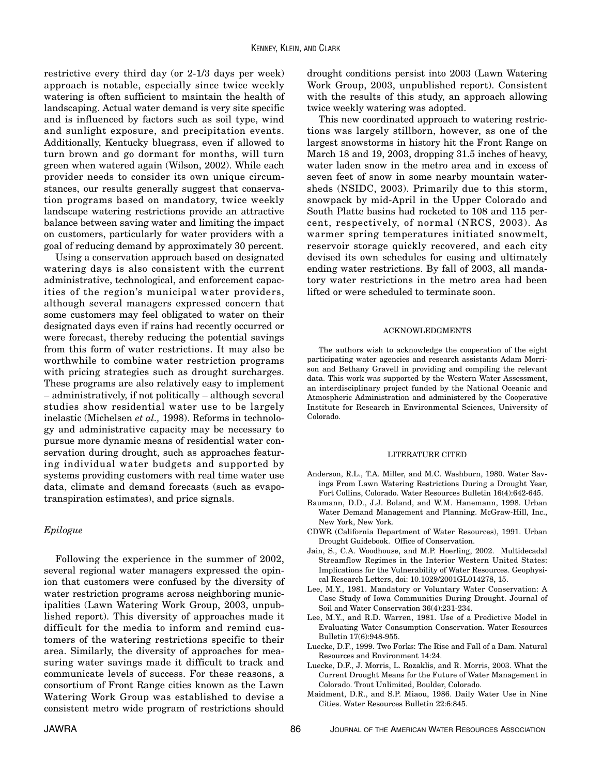restrictive every third day (or 2-1/3 days per week) approach is notable, especially since twice weekly watering is often sufficient to maintain the health of landscaping. Actual water demand is very site specific and is influenced by factors such as soil type, wind and sunlight exposure, and precipitation events. Additionally, Kentucky bluegrass, even if allowed to turn brown and go dormant for months, will turn green when watered again (Wilson, 2002). While each provider needs to consider its own unique circumstances, our results generally suggest that conservation programs based on mandatory, twice weekly landscape watering restrictions provide an attractive balance between saving water and limiting the impact on customers, particularly for water providers with a goal of reducing demand by approximately 30 percent.

Using a conservation approach based on designated watering days is also consistent with the current administrative, technological, and enforcement capacities of the region's municipal water providers, although several managers expressed concern that some customers may feel obligated to water on their designated days even if rains had recently occurred or were forecast, thereby reducing the potential savings from this form of water restrictions. It may also be worthwhile to combine water restriction programs with pricing strategies such as drought surcharges. These programs are also relatively easy to implement – administratively, if not politically – although several studies show residential water use to be largely inelastic (Michelsen *et al.,* 1998). Reforms in technology and administrative capacity may be necessary to pursue more dynamic means of residential water conservation during drought, such as approaches featuring individual water budgets and supported by systems providing customers with real time water use data, climate and demand forecasts (such as evapotranspiration estimates), and price signals.

### *Epilogue*

Following the experience in the summer of 2002, several regional water managers expressed the opinion that customers were confused by the diversity of water restriction programs across neighboring municipalities (Lawn Watering Work Group, 2003, unpublished report). This diversity of approaches made it difficult for the media to inform and remind customers of the watering restrictions specific to their area. Similarly, the diversity of approaches for measuring water savings made it difficult to track and communicate levels of success. For these reasons, a consortium of Front Range cities known as the Lawn Watering Work Group was established to devise a consistent metro wide program of restrictions should

drought conditions persist into 2003 (Lawn Watering Work Group, 2003, unpublished report). Consistent with the results of this study, an approach allowing twice weekly watering was adopted.

This new coordinated approach to watering restrictions was largely stillborn, however, as one of the largest snowstorms in history hit the Front Range on March 18 and 19, 2003, dropping 31.5 inches of heavy, water laden snow in the metro area and in excess of seven feet of snow in some nearby mountain watersheds (NSIDC, 2003). Primarily due to this storm, snowpack by mid-April in the Upper Colorado and South Platte basins had rocketed to 108 and 115 percent, respectively, of normal (NRCS, 2003). As warmer spring temperatures initiated snowmelt, reservoir storage quickly recovered, and each city devised its own schedules for easing and ultimately ending water restrictions. By fall of 2003, all mandatory water restrictions in the metro area had been lifted or were scheduled to terminate soon.

#### ACKNOWLEDGMENTS

The authors wish to acknowledge the cooperation of the eight participating water agencies and research assistants Adam Morrison and Bethany Gravell in providing and compiling the relevant data. This work was supported by the Western Water Assessment, an interdisciplinary project funded by the National Oceanic and Atmospheric Administration and administered by the Cooperative Institute for Research in Environmental Sciences, University of Colorado.

#### LITERATURE CITED

- Anderson, R.L., T.A. Miller, and M.C. Washburn, 1980. Water Savings From Lawn Watering Restrictions During a Drought Year, Fort Collins, Colorado. Water Resources Bulletin 16(4):642-645.
- Baumann, D.D., J.J. Boland, and W.M. Hanemann, 1998. Urban Water Demand Management and Planning. McGraw-Hill, Inc., New York, New York.
- CDWR (California Department of Water Resources), 1991. Urban Drought Guidebook. Office of Conservation.
- Jain, S., C.A. Woodhouse, and M.P. Hoerling, 2002. Multidecadal Streamflow Regimes in the Interior Western United States: Implications for the Vulnerability of Water Resources. Geophysical Research Letters, doi: 10.1029/2001GL014278, 15.
- Lee, M.Y., 1981. Mandatory or Voluntary Water Conservation: A Case Study of Iowa Communities During Drought. Journal of Soil and Water Conservation 36(4):231-234.
- Lee, M.Y., and R.D. Warren, 1981. Use of a Predictive Model in Evaluating Water Consumption Conservation. Water Resources Bulletin 17(6):948-955.
- Luecke, D.F., 1999. Two Forks: The Rise and Fall of a Dam. Natural Resources and Environment 14:24.
- Luecke, D.F., J. Morris, L. Rozaklis, and R. Morris, 2003. What the Current Drought Means for the Future of Water Management in Colorado. Trout Unlimited, Boulder, Colorado.
- Maidment, D.R., and S.P. Miaou, 1986. Daily Water Use in Nine Cities. Water Resources Bulletin 22:6:845.